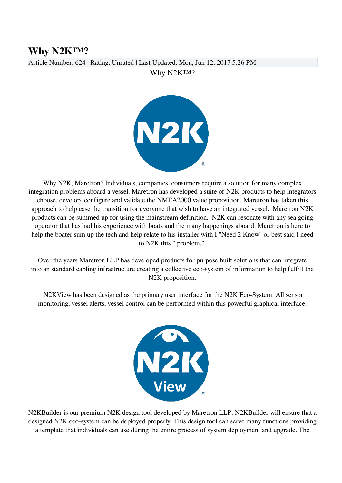## **Why N2K™?**

Article Number: 624 | Rating: Unrated | Last Updated: Mon, Jun 12, 2017 5:26 PM

Why N2K™?



Why N2K, Maretron? Individuals, companies, consumers require a solution for many complex integration problems aboard a vessel. Maretron has developed a suite of N2K products to help integrators choose, develop, configure and validate the NMEA2000 value proposition. Maretron has taken this approach to help ease the transition for everyone that wish to have an integrated vessel. Maretron N2K products can be summed up for using the mainstream definition. N2K can resonate with any sea going operator that has had his experience with boats and the many happenings aboard. Maretron is here to help the boater sum up the tech and help relate to his installer with I "Need 2 Know" or best said I need to N2K this ".problem.".

Over the years Maretron LLP has developed products for purpose built solutions that can integrate into an standard cabling infrastructure creating a collective eco-system of information to help fulfill the N2K proposition.

 N2KView has been designed as the primary user interface for the N2K Eco-System. All sensor monitoring, vessel alerts, vessel control can be performed within this powerful graphical interface.



N2KBuilder is our premium N2K design tool developed by Maretron LLP. N2KBuilder will ensure that a designed N2K eco-system can be deployed properly. This design tool can serve many functions providing a template that individuals can use during the entire process of system deployment and upgrade. The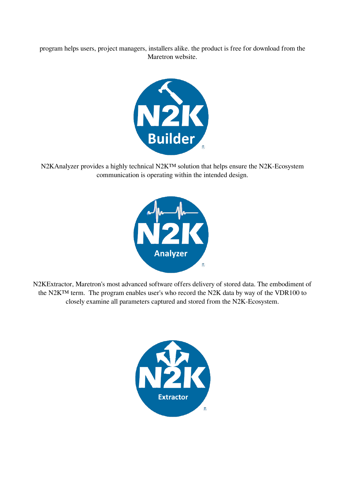program helps users, project managers, installers alike. the product is free for download from the Maretron website.



N2KAnalyzer provides a highly technical N2K™ solution that helps ensure the N2K-Ecosystem communication is operating within the intended design.



N2KExtractor, Maretron's most advanced software offers delivery of stored data. The embodiment of the N2K™ term. The program enables user's who record the N2K data by way of the VDR100 to closely examine all parameters captured and stored from the N2K-Ecosystem.